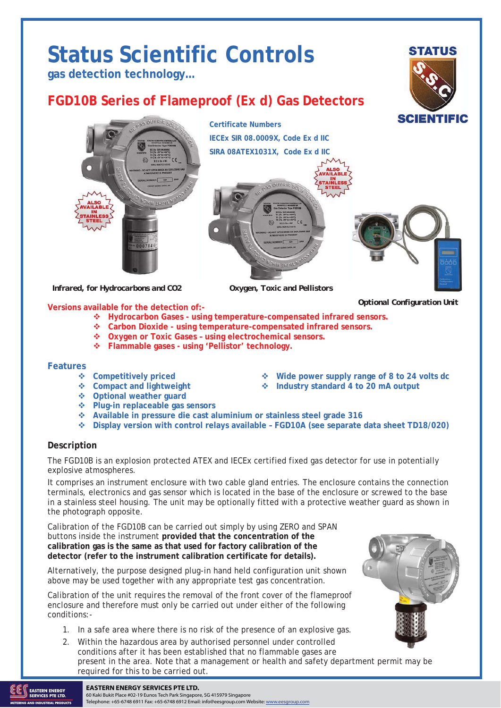# **Status Scientific Controls**

**gas detection technology…** 

## **FGD10B Series of Flameproof (Ex d) Gas Detectors**





 *Infrared, for Hydrocarbons and CO2 Oxygen, Toxic and Pellistors* 

**Versions available for the detection of:-** 

**Compact and lightweight Industry standard 4 to 20 mA output** 

- **Hydrocarbon Gases using temperature-compensated infrared sensors.**
- **Carbon Dioxide using temperature-compensated infrared sensors.**
- **Oxygen or Toxic Gases using electrochemical sensors.**
- **Flammable gases using 'Pellistor' technology.**

#### **Features**

- 
- **Example 1 Competitively priced a** *c c* **<b>***c c c c c c c c c c c c c c c c c c c c c c c c c c c c c c*
- **Optional weather guard**
- **Plug-in replaceable gas sensors**
- **Available in pressure die cast aluminium or stainless steel grade 316**
- **Display version with control relays available FGD10A (see separate data sheet TD18/020)**

#### **Description**

The FGD10B is an explosion protected ATEX and IECEx certified fixed gas detector for use in potentially explosive atmospheres.

It comprises an instrument enclosure with two cable gland entries. The enclosure contains the connection terminals, electronics and gas sensor which is located in the base of the enclosure or screwed to the base in a stainless steel housing. The unit may be optionally fitted with a protective weather guard as shown in the photograph opposite.

Calibration of the FGD10B can be carried out simply by using ZERO and SPAN buttons inside the instrument **provided that the concentration of the calibration gas is the same as that used for factory calibration of the detector (refer to the instrument calibration certificate for details).**

Alternatively, the purpose designed plug-in hand held configuration unit shown above may be used together with any appropriate test gas concentration.

Calibration of the unit requires the removal of the front cover of the flameproof enclosure and therefore must only be carried out under either of the following conditions:-

- 1. In a safe area where there is no risk of the presence of an explosive gas.
- 2. Within the hazardous area by authorised personnel under controlled conditions after it has been established that no flammable gases are present in the area. Note that a management or health and safety department permit may be required for this to be carried out.



*Optional Configuration Unit*



#### **THERGY EASTERN ENERGY SERVICES PTE LTD. EXAMPLE 2020**

60 Kaki Bukit Place #02-19 Eunos Tech Park Singapore, SG 415979 Singapore Telephone: +65-6748 6911 Fax: +65-6748 6912 Email: info@eesgroup.com Website: www.eesgroup.com